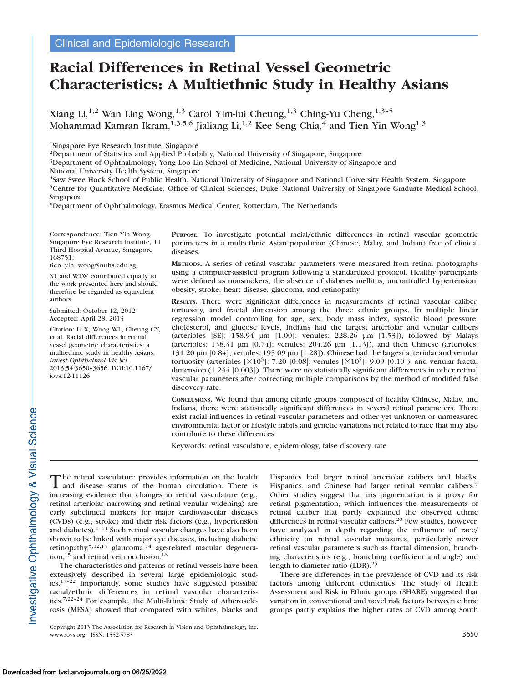# Racial Differences in Retinal Vessel Geometric Characteristics: A Multiethnic Study in Healthy Asians

Xiang Li,<sup>1,2</sup> Wan Ling Wong,<sup>1,3</sup> Carol Yim-lui Cheung,<sup>1,3</sup> Ching-Yu Cheng,<sup>1,3-5</sup> Mohammad Kamran Ikram,<sup>1,3,5,6</sup> Jialiang Li,<sup>1,2</sup> Kee Seng Chia,<sup>4</sup> and Tien Yin Wong<sup>1,3</sup>

1Singapore Eye Research Institute, Singapore

2Department of Statistics and Applied Probability, National University of Singapore, Singapore

<sup>3</sup>Department of Ophthalmology, Yong Loo Lin School of Medicine, National University of Singapore and

National University Health System, Singapore

4Saw Swee Hock School of Public Health, National University of Singapore and National University Health System, Singapore 5Centre for Quantitative Medicine, Office of Clinical Sciences, Duke–National University of Singapore Graduate Medical School, Singapore

6Department of Ophthalmology, Erasmus Medical Center, Rotterdam, The Netherlands

Correspondence: Tien Yin Wong, Singapore Eye Research Institute, 11 Third Hospital Avenue, Singapore 168751;

tien\_yin\_wong@nuhs.edu.sg.

XL and WLW contributed equally to the work presented here and should therefore be regarded as equivalent authors.

Submitted: October 12, 2012 Accepted: April 28, 2013

Citation: Li X, Wong WL, Cheung CY, et al. Racial differences in retinal vessel geometric characteristics: a multiethnic study in healthy Asians. Invest Ophthalmol Vis Sci. 2013;54:3650–3656. DOI:10.1167/ iovs.12-11126

PURPOSE. To investigate potential racial/ethnic differences in retinal vascular geometric parameters in a multiethnic Asian population (Chinese, Malay, and Indian) free of clinical diseases.

METHODS. A series of retinal vascular parameters were measured from retinal photographs using a computer-assisted program following a standardized protocol. Healthy participants were defined as nonsmokers, the absence of diabetes mellitus, uncontrolled hypertension, obesity, stroke, heart disease, glaucoma, and retinopathy.

RESULTS. There were significant differences in measurements of retinal vascular caliber, tortuosity, and fractal dimension among the three ethnic groups. In multiple linear regression model controlling for age, sex, body mass index, systolic blood pressure, cholesterol, and glucose levels, Indians had the largest arteriolar and venular calibers (arterioles [SE]:  $158.94 \mu m$  [1.00]; venules:  $228.26 \mu m$  [1.53]), followed by Malays (arterioles: 138.31  $\mu$ m [0.74]; venules: 204.26  $\mu$ m [1.13]), and then Chinese (arterioles: 131.20  $\mu$ m [0.84]; venules: 195.09  $\mu$ m [1.28]). Chinese had the largest arteriolar and venular tortuosity (arterioles [ $\times 10^5$ ]: 7.20 [0.08]; venules [ $\times 10^5$ ]: 9.09 [0.10]), and venular fractal dimension (1.244 [0.003]). There were no statistically significant differences in other retinal vascular parameters after correcting multiple comparisons by the method of modified false discovery rate.

CONCLUSIONS. We found that among ethnic groups composed of healthy Chinese, Malay, and Indians, there were statistically significant differences in several retinal parameters. There exist racial influences in retinal vascular parameters and other yet unknown or unmeasured environmental factor or lifestyle habits and genetic variations not related to race that may also contribute to these differences.

Keywords: retinal vasculature, epidemiology, false discovery rate

The retinal vasculature provides information on the health and disease status of the human circulation. There is increasing evidence that changes in retinal vasculature (e.g., retinal arteriolar narrowing and retinal venular widening) are early subclinical markers for major cardiovascular diseases (CVDs) (e.g., stroke) and their risk factors (e.g., hypertension and diabetes). $1-11$  Such retinal vascular changes have also been shown to be linked with major eye diseases, including diabetic retinopathy,<sup>5,12,13</sup> glaucoma,<sup>14</sup> age-related macular degeneration,<sup>15</sup> and retinal vein occlusion.<sup>16</sup>

The characteristics and patterns of retinal vessels have been extensively described in several large epidemiologic studies.17–22 Importantly, some studies have suggested possible racial/ethnic differences in retinal vascular characteristics.7,22–24 For example, the Multi-Ethnic Study of Atherosclerosis (MESA) showed that compared with whites, blacks and Hispanics had larger retinal arteriolar calibers and blacks, Hispanics, and Chinese had larger retinal venular calibers.<sup>7</sup> Other studies suggest that iris pigmentation is a proxy for retinal pigmentation, which influences the measurements of retinal caliber that partly explained the observed ethnic differences in retinal vascular calibers.<sup>20</sup> Few studies, however, have analyzed in depth regarding the influence of race/ ethnicity on retinal vascular measures, particularly newer retinal vascular parameters such as fractal dimension, branching characteristics (e.g., branching coefficient and angle) and length-to-diameter ratio (LDR).<sup>25</sup>

There are differences in the prevalence of CVD and its risk factors among different ethnicities. The Study of Health Assessment and Risk in Ethnic groups (SHARE) suggested that variation in conventional and novel risk factors between ethnic groups partly explains the higher rates of CVD among South

Copyright 2013 The Association for Research in Vision and Ophthalmology, Inc. www.iovs.org | ISSN: 1552-5783 3650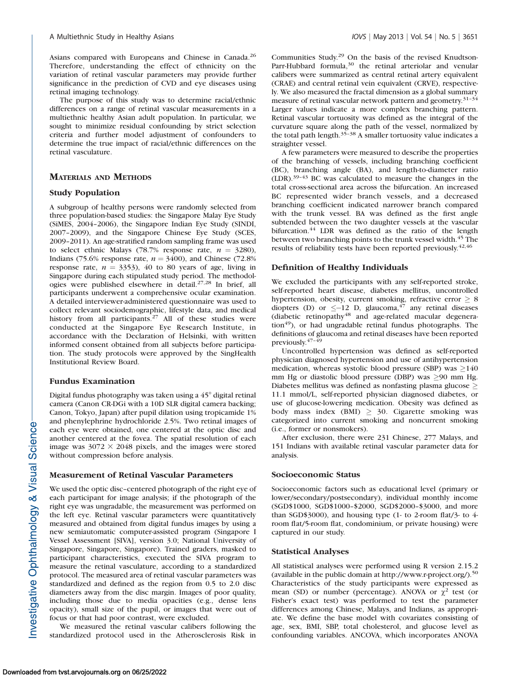Asians compared with Europeans and Chinese in Canada.<sup>26</sup> Therefore, understanding the effect of ethnicity on the variation of retinal vascular parameters may provide further significance in the prediction of CVD and eye diseases using retinal imaging technology.

The purpose of this study was to determine racial/ethnic differences on a range of retinal vascular measurements in a multiethnic healthy Asian adult population. In particular, we sought to minimize residual confounding by strict selection criteria and further model adjustment of confounders to determine the true impact of racial/ethnic differences on the retinal vasculature.

# MATERIALS AND METHODS

# Study Population

A subgroup of healthy persons were randomly selected from three population-based studies: the Singapore Malay Eye Study (SiMES, 2004–2006), the Singapore Indian Eye Study (SINDI, 2007–2009), and the Singapore Chinese Eye Study (SCES, 2009–2011). An age-stratified random sampling frame was used to select ethnic Malays (78.7% response rate,  $n = 3280$ ), Indians (75.6% response rate,  $n = 3400$ ), and Chinese (72.8%) response rate,  $n = 3353$ , 40 to 80 years of age, living in Singapore during each stipulated study period. The methodologies were published elsewhere in detail.27,28 In brief, all participants underwent a comprehensive ocular examination. A detailed interviewer-administered questionnaire was used to collect relevant sociodemographic, lifestyle data, and medical history from all participants.<sup>27</sup> All of these studies were conducted at the Singapore Eye Research Institute, in accordance with the Declaration of Helsinki, with written informed consent obtained from all subjects before participation. The study protocols were approved by the SingHealth Institutional Review Board.

#### Fundus Examination

Digital fundus photography was taken using a  $45^{\circ}$  digital retinal camera (Canon CR-DGi with a 10D SLR digital camera backing; Canon, Tokyo, Japan) after pupil dilation using tropicamide 1% and phenylephrine hydrochloride 2.5%. Two retinal images of each eye were obtained, one centered at the optic disc and another centered at the fovea. The spatial resolution of each image was  $3072 \times 2048$  pixels, and the images were stored without compression before analysis.

#### Measurement of Retinal Vascular Parameters

We used the optic disc–centered photograph of the right eye of each participant for image analysis; if the photograph of the right eye was ungradable, the measurement was performed on the left eye. Retinal vascular parameters were quantitatively measured and obtained from digital fundus images by using a new semiautomatic computer-assisted program (Singapore I Vessel Assessment [SIVA], version 3.0; National University of Singapore, Singapore, Singapore). Trained graders, masked to participant characteristics, executed the SIVA program to measure the retinal vasculature, according to a standardized protocol. The measured area of retinal vascular parameters was standardized and defined as the region from 0.5 to 2.0 disc diameters away from the disc margin. Images of poor quality, including those due to media opacities (e.g., dense lens opacity), small size of the pupil, or images that were out of focus or that had poor contrast, were excluded.

We measured the retinal vascular calibers following the standardized protocol used in the Atherosclerosis Risk in Communities Study.29 On the basis of the revised Knudtson-Parr-Hubbard formula,<sup>30</sup> the retinal arteriolar and venular calibers were summarized as central retinal artery equivalent (CRAE) and central retinal vein equivalent (CRVE), respectively. We also measured the fractal dimension as a global summary measure of retinal vascular network pattern and geometry.31–34 Larger values indicate a more complex branching pattern. Retinal vascular tortuosity was defined as the integral of the curvature square along the path of the vessel, normalized by the total path length.35–38 A smaller tortuosity value indicates a straighter vessel.

A few parameters were measured to describe the properties of the branching of vessels, including branching coefficient (BC), branching angle (BA), and length-to-diameter ratio (LDR).39–43 BC was calculated to measure the changes in the total cross-sectional area across the bifurcation. An increased BC represented wider branch vessels, and a decreased branching coefficient indicated narrower branch compared with the trunk vessel. BA was defined as the first angle subtended between the two daughter vessels at the vascular bifurcation.<sup>44</sup> LDR was defined as the ratio of the length between two branching points to the trunk vessel width.<sup>45</sup> The results of reliability tests have been reported previously.42,46

## Definition of Healthy Individuals

We excluded the participants with any self-reported stroke, self-reported heart disease, diabetes mellitus, uncontrolled hypertension, obesity, current smoking, refractive error  $\geq 8$ diopters (D) or  $\leq -12$  D, glaucoma,<sup>47</sup> any retinal diseases  $(diabetic retinopathy<sup>48</sup>$  and age-related macular degenera- $\frac{1}{9}$ , or had ungradable retinal fundus photographs. The definitions of glaucoma and retinal diseases have been reported previously.47–49

Uncontrolled hypertension was defined as self-reported physician diagnosed hypertension and use of antihypertension medication, whereas systolic blood pressure (SBP) was  $\geq$ 140 mm Hg or diastolic blood pressure (DBP) was  $\geq$ 90 mm Hg. Diabetes mellitus was defined as nonfasting plasma glucose  $\geq$ 11.1 mmol/L, self-reported physician diagnosed diabetes, or use of glucose-lowering medication. Obesity was defined as body mass index (BMI)  $\geq$  30. Cigarette smoking was categorized into current smoking and noncurrent smoking (i.e., former or nonsmokers).

After exclusion, there were 231 Chinese, 277 Malays, and 151 Indians with available retinal vascular parameter data for analysis.

#### Socioeconomic Status

Socioeconomic factors such as educational level (primary or lower/secondary/postsecondary), individual monthly income (SGD\$1000, SGD\$1000–\$2000, SGD\$2000–\$3000, and more than SGD\$3000), and housing type (1- to 2-room flat/3- to 4 room flat/5-room flat, condominium, or private housing) were captured in our study.

#### Statistical Analyses

All statistical analyses were performed using R version 2.15.2 (available in the public domain at http://www.r-project.org/).<sup>50</sup> Characteristics of the study participants were expressed as mean (SD) or number (percentage). ANOVA or  $\chi^2$  test (or Fisher's exact test) was performed to test the parameter differences among Chinese, Malays, and Indians, as appropriate. We define the base model with covariates consisting of age, sex, BMI, SBP, total cholesterol, and glucose level as confounding variables. ANCOVA, which incorporates ANOVA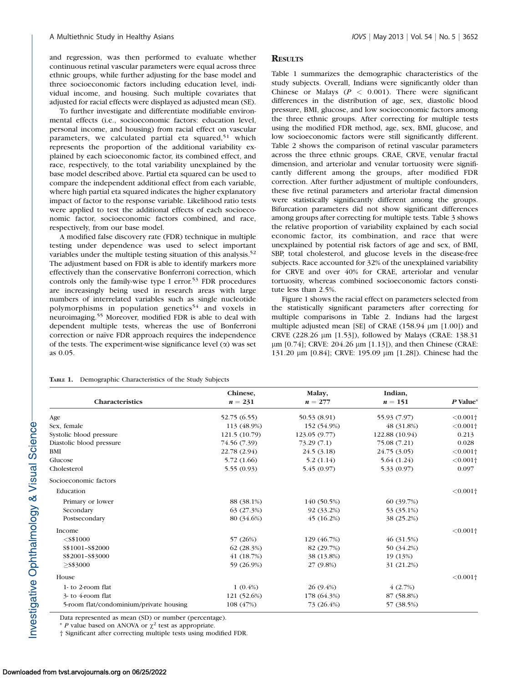and regression, was then performed to evaluate whether continuous retinal vascular parameters were equal across three ethnic groups, while further adjusting for the base model and three socioeconomic factors including education level, individual income, and housing. Such multiple covariates that adjusted for racial effects were displayed as adjusted mean (SE).

To further investigate and differentiate modifiable environmental effects (i.e., socioeconomic factors: education level, personal income, and housing) from racial effect on vascular parameters, we calculated partial eta squared,<sup>51</sup> which represents the proportion of the additional variability explained by each scioeconomic factor, its combined effect, and race, respectively, to the total variability unexplained by the base model described above. Partial eta squared can be used to compare the independent additional effect from each variable, where high partial eta squared indicates the higher explanatory impact of factor to the response variable. Likelihood ratio tests were applied to test the additional effects of each socioeconomic factor, socioeconomic factors combined, and race, respectively, from our base model.

A modified false discovery rate (FDR) technique in multiple testing under dependence was used to select important variables under the multiple testing situation of this analysis.<sup>52</sup> The adjustment based on FDR is able to identify markers more effectively than the conservative Bonferroni correction, which controls only the family-wise type I error.<sup>53</sup> FDR procedures are increasingly being used in research areas with large numbers of interrelated variables such as single nucleotide polymorphisms in population genetics<sup>54</sup> and voxels in neuroimaging.<sup>55</sup> Moreover, modified FDR is able to deal with dependent multiple tests, whereas the use of Bonferroni correction or naïve FDR approach requires the independence of the tests. The experiment-wise significance level  $(\alpha)$  was set as 0.05.

## **RESULTS**

Table 1 summarizes the demographic characteristics of the study subjects. Overall, Indians were significantly older than Chinese or Malays ( $P < 0.001$ ). There were significant differences in the distribution of age, sex, diastolic blood pressure, BMI, glucose, and low socioeconomic factors among the three ethnic groups. After correcting for multiple tests using the modified FDR method, age, sex, BMI, glucose, and low socioeconomic factors were still significantly different. Table 2 shows the comparison of retinal vascular parameters across the three ethnic groups. CRAE, CRVE, venular fractal dimension, and arteriolar and venular tortuosity were significantly different among the groups, after modified FDR correction. After further adjustment of multiple confounders, these five retinal parameters and arteriolar fractal dimension were statistically significantly different among the groups. Bifurcation parameters did not show significant differences among groups after correcting for multiple tests. Table 3 shows the relative proportion of variability explained by each social economic factor, its combination, and race that were unexplained by potential risk factors of age and sex, of BMI, SBP, total cholesterol, and glucose levels in the disease-free subjects. Race accounted for 32% of the unexplained variability for CRVE and over 40% for CRAE, arteriolar and venular tortuosity, whereas combined socioeconomic factors constitute less than 2.5%.

Figure 1 shows the racial effect on parameters selected from the statistically significant parameters after correcting for multiple comparisons in Table 2. Indians had the largest multiple adjusted mean [SE] of CRAE (158.94 µm [1.00]) and CRVE (228.26 µm [1.53]), followed by Malays (CRAE: 138.31  $\mu$ m [0.74]; CRVE: 204.26  $\mu$ m [1.13]), and then Chinese (CRAE: 131.20 μm [0.84]; CRVE: 195.09 μm [1.28]). Chinese had the

| TABLE 1. | Demographic Characteristics of the Study Subjects |  |  |  |  |
|----------|---------------------------------------------------|--|--|--|--|
|----------|---------------------------------------------------|--|--|--|--|

Characteristics Chinese,  $n = 231$ Malay,  $n = 277$ Indian,  $n = 151$  P Value\* Age 52.75 (6.55) 50.53 (8.91) 55.93 (7.97)  $\langle 0.001 \dagger$ Sex, female 113 (48.9%) 152 (54.9%) 48 (31.8%) <0.001† Systolic blood pressure 121.5 (10.79) 123.05 (9.77) 122.88 (10.94) 0.213 Diastolic blood pressure 74.56 (7.39) 73.29 (7.1) 75.08 (7.21) 0.028 BMI 22.78 (2.94)  $22.78 \, (2.94)$   $24.5 \, (3.18)$   $24.75 \, (3.05)$   $\langle 0.001 \, \text{°} \rangle$ Glucose 5.72 (1.66) 5.72 (1.66) 5.2 (1.14) 5.64 (1.24)  $\langle 0.001 \dagger$ Cholesterol 5.55 (0.93) 5.45 (0.97) 5.33 (0.97) 5.33 (0.97) Socioeconomic factors Education  $<$  0.001 $\dagger$ Primary or lower 88 (38.1%) 140 (50.5%) 60 (39.7%) Secondary 63 (27.3%) 92 (33.2%) 53 (35.1%) Postsecondary 38 (25.2%) 80 (34.6%) 45 (16.2%) 38 (25.2%)  $\epsilon$  = 1 and  $\epsilon$  = 1 and  $\epsilon$  = 1 and  $\epsilon$  = 1 and  $\epsilon$  = 1 and  $\epsilon$  = 1 and  $\epsilon$  = 1 and  $\epsilon$  = 1 and  $\epsilon$  = 1 and  $\epsilon$  = 1 and  $\epsilon$  = 1 and  $\epsilon$  = 1 and  $\epsilon$  = 1 and  $\epsilon$  = 1 and  $\epsilon$  = 1 and  $\epsilon$  = 1 and  $\epsilon$  = 1 and <S\$1000 57 (26%) 129 (46.7%) 46 (31.5%) S\$1001–S\$2000 62 (28.3%) 82 (29.7%) 50 (34.2%) S\$2001–S\$3000 41 (18.7%) 38 (13.8%) 19 (13%)  $\ge$  59 (26.9%) 27 (9.8%) 31 (21.2%) House  $< 0.001$ <sup>+</sup> 1- to 2-room flat  $1 (0.4\%)$   $26 (9.4\%)$   $4 (2.7\%)$ 3- to 4-room flat 121 (52.6%) 178 (64.3%) 87 (58.8%) 5-room flat/condominium/private housing 108 (47%) 73 (26.4%) 57 (38.5%)

Data represented as mean (SD) or number (percentage).

\* P value based on ANOVA or  $\chi^2$  test as appropriate.

† Significant after correcting multiple tests using modified FDR.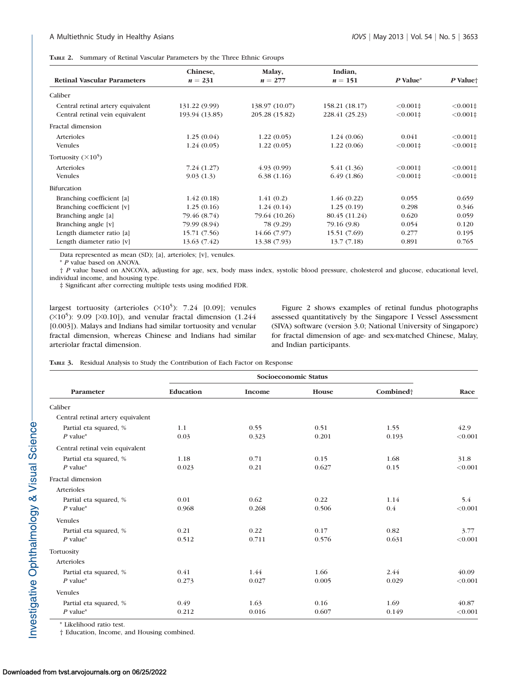TABLE 2. Summary of Retinal Vascular Parameters by the Three Ethnic Groups

|                                    | Chinese,       | Malay,                           | Indian,        |               | P Value <sup>+</sup> |
|------------------------------------|----------------|----------------------------------|----------------|---------------|----------------------|
| <b>Retinal Vascular Parameters</b> | $n = 231$      | $n = 277$                        | $n = 151$      | P Value*      |                      |
| Caliber                            |                |                                  |                |               |                      |
| Central retinal artery equivalent  | 131.22 (9.99)  | 138.97 (10.07)<br>158.21 (18.17) |                | $< 0.001 \pm$ | $< 0.001 \pm$        |
| Central retinal vein equivalent    | 193.94 (13.85) | 205.28 (15.82)                   | 228.41 (25.23) | $< 0.001 \pm$ | $< 0.001 \pm$        |
| Fractal dimension                  |                |                                  |                |               |                      |
| Arterioles                         | 1.25(0.04)     | 1.22(0.05)                       | 1.24(0.06)     | 0.041         | $< 0.001 \pm$        |
| <b>Venules</b>                     | 1.24(0.05)     | 1.22(0.05)                       | 1.22(0.06)     | $< 0.001 \pm$ | $< 0.001 \pm$        |
| Tortuosity $(\times 10^5)$         |                |                                  |                |               |                      |
| Arterioles                         | 7.24(1.27)     | (4.93(0.99))                     | 5.41 (1.36)    | $< 0.001 \pm$ | $< 0.001 \pm$        |
| <b>Venules</b>                     | 9.03(1.3)      | 6.38(1.16)                       | 6.49(1.86)     | $< 0.001 \pm$ | $< 0.001 \pm$        |
| <b>Bifurcation</b>                 |                |                                  |                |               |                      |
| Branching coefficient [a]          | 1.42(0.18)     | 1.41(0.2)                        | 1.46(0.22)     | 0.055         | 0.659                |
| Branching coefficient [v]          | 1.25(0.16)     | 1.24(0.14)                       | 1.25(0.19)     | 0.298         | 0.346                |
| Branching angle [a]                | 79.46 (8.74)   | 79.64 (10.26)                    | 80.45 (11.24)  | 0.620         | 0.059                |
| Branching angle [v]                | 79.99 (8.94)   | 78 (9.29)                        | 79.16 (9.8)    | 0.054         | 0.120                |
| Length diameter ratio [a]          | 15.71 (7.56)   | 14.66 (7.97)                     | 15.51 (7.69)   | 0.277         | 0.195                |
| Length diameter ratio [v]          | 13.63 (7.42)   | 13.38 (7.93)                     | 13.7(7.18)     | 0.891         | 0.765                |

Data represented as mean (SD); [a], arterioles; [v], venules.

\* P value based on ANOVA.

† P value based on ANCOVA, adjusting for age, sex, body mass index, systolic blood pressure, cholesterol and glucose, educational level, individual income, and housing type.

‡ Significant after correcting multiple tests using modified FDR.

largest tortuosity (arterioles  $(\times 10^5)$ : 7.24 [0.09]; venules  $(X10<sup>5</sup>)$ : 9.09 [ $X0.10$ ]), and venular fractal dimension (1.244) [0.003]). Malays and Indians had similar tortuosity and venular fractal dimension, whereas Chinese and Indians had similar arteriolar fractal dimension.

Figure 2 shows examples of retinal fundus photographs assessed quantitatively by the Singapore I Vessel Assessment (SIVA) software (version 3.0; National University of Singapore) for fractal dimension of age- and sex-matched Chinese, Malay, and Indian participants.

TABLE 3. Residual Analysis to Study the Contribution of Each Factor on Response

|                                      | Socioeconomic Status |               |               |                       |                  |
|--------------------------------------|----------------------|---------------|---------------|-----------------------|------------------|
| Parameter                            | Education            | Income        | House         | Combined <sup>+</sup> | Race             |
| Caliber                              |                      |               |               |                       |                  |
| Central retinal artery equivalent    |                      |               |               |                       |                  |
| Partial eta squared, %<br>$P$ value* | 1.1<br>0.03          | 0.55<br>0.323 | 0.51<br>0.201 | 1.55<br>0.193         | 42.9<br>< 0.001  |
| Central retinal vein equivalent      |                      |               |               |                       |                  |
| Partial eta squared, %<br>$P$ value* | 1.18<br>0.023        | 0.71<br>0.21  | 0.15<br>0.627 | 1.68<br>0.15          | 31.8<br>< 0.001  |
| Fractal dimension                    |                      |               |               |                       |                  |
| Arterioles                           |                      |               |               |                       |                  |
| Partial eta squared, %<br>$P$ value* | 0.01<br>0.968        | 0.62<br>0.268 | 0.22<br>0.506 | 1.14<br>0.4           | 5.4<br>< 0.001   |
| <b>Venules</b>                       |                      |               |               |                       |                  |
| Partial eta squared, %<br>$P$ value* | 0.21<br>0.512        | 0.22<br>0.711 | 0.17<br>0.576 | 0.82<br>0.631         | 3.77<br>< 0.001  |
| Tortuosity                           |                      |               |               |                       |                  |
| Arterioles                           |                      |               |               |                       |                  |
| Partial eta squared, %<br>$P$ value* | 0.41<br>0.273        | 1.44<br>0.027 | 1.66<br>0.005 | 2.44<br>0.029         | 40.09<br>< 0.001 |
| <b>Venules</b>                       |                      |               |               |                       |                  |
| Partial eta squared, %<br>$P$ value* | 0.49<br>0.212        | 1.63<br>0.016 | 0.16<br>0.607 | 1.69<br>0.149         | 40.87<br>< 0.001 |

\* Likelihood ratio test.

† Education, Income, and Housing combined.

Investigative Ophthalmology & Visual Science-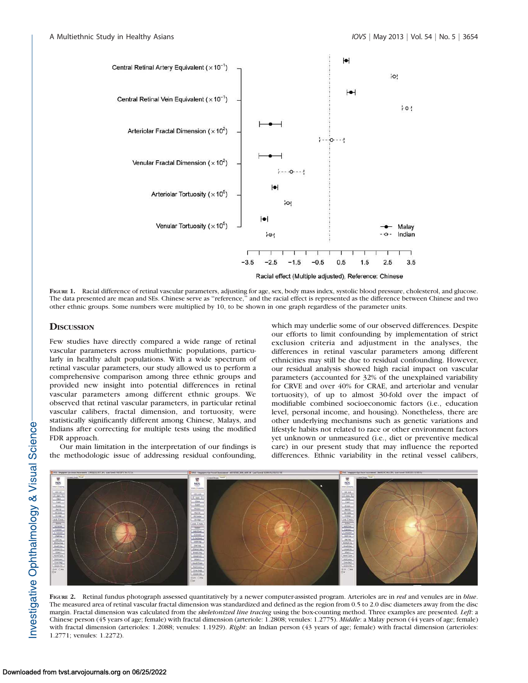

FIGURE 1. Racial difference of retinal vascular parameters, adjusting for age, sex, body mass index, systolic blood pressure, cholesterol, and glucose. The data presented are mean and SEs. Chinese serve as ''reference,'' and the racial effect is represented as the difference between Chinese and two other ethnic groups. Some numbers were multiplied by 10, to be shown in one graph regardless of the parameter units.

## **DISCUSSION**

Few studies have directly compared a wide range of retinal vascular parameters across multiethnic populations, particularly in healthy adult populations. With a wide spectrum of retinal vascular parameters, our study allowed us to perform a comprehensive comparison among three ethnic groups and provided new insight into potential differences in retinal vascular parameters among different ethnic groups. We observed that retinal vascular parameters, in particular retinal vascular calibers, fractal dimension, and tortuosity, were statistically significantly different among Chinese, Malays, and Indians after correcting for multiple tests using the modified FDR approach.

Our main limitation in the interpretation of our findings is the methodologic issue of addressing residual confounding, which may underlie some of our observed differences. Despite our efforts to limit confounding by implementation of strict exclusion criteria and adjustment in the analyses, the differences in retinal vascular parameters among different ethnicities may still be due to residual confounding. However, our residual analysis showed high racial impact on vascular parameters (accounted for 32% of the unexplained variability for CRVE and over 40% for CRAE, and arteriolar and venular tortuosity), of up to almost 30-fold over the impact of modifiable combined socioeconomic factors (i.e., education level, personal income, and housing). Nonetheless, there are other underlying mechanisms such as genetic variations and lifestyle habits not related to race or other environment factors yet unknown or unmeasured (i.e., diet or preventive medical care) in our present study that may influence the reported differences. Ethnic variability in the retinal vessel calibers,



FIGURE 2. Retinal fundus photograph assessed quantitatively by a newer computer-assisted program. Arterioles are in red and venules are in blue. The measured area of retinal vascular fractal dimension was standardized and defined as the region from 0.5 to 2.0 disc diameters away from the disc margin. Fractal dimension was calculated from the skeletonized line tracing using the box-counting method. Three examples are presented. Left: a Chinese person (45 years of age; female) with fractal dimension (arteriole: 1.2808; venules: 1.2775). Middle: a Malay person (44 years of age; female) with fractal dimension (arterioles: 1.2088; venules: 1.1929). Right: an Indian person (43 years of age; female) with fractal dimension (arterioles: 1.2771; venules: 1.2272).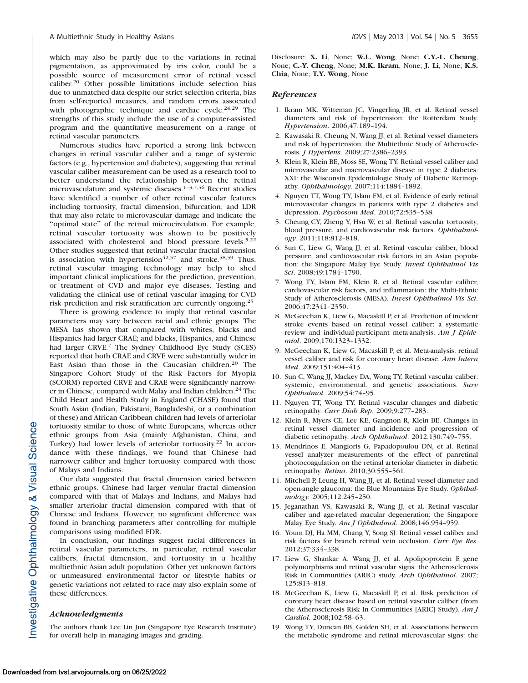which may also be partly due to the variations in retinal pigmentation, as approximated by iris color, could be a possible source of measurement error of retinal vessel caliber.<sup>20</sup> Other possible limitations include selection bias due to unmatched data despite our strict selection criteria, bias from self-reported measures, and random errors associated with photographic technique and cardiac cycle.<sup>24,29</sup> The strengths of this study include the use of a computer-assisted program and the quantitative measurement on a range of retinal vascular parameters.

Numerous studies have reported a strong link between changes in retinal vascular caliber and a range of systemic factors (e.g., hypertension and diabetes), suggesting that retinal vascular caliber measurement can be used as a research tool to better understand the relationship between the retinal microvasculature and systemic diseases.<sup>1-3,7,56</sup> Recent studies have identified a number of other retinal vascular features including tortuosity, fractal dimension, bifurcation, and LDR that may also relate to microvascular damage and indicate the ''optimal state'' of the retinal microcirculation. For example, retinal vascular tortuosity was shown to be positively associated with cholesterol and blood pressure levels.5,22 Other studies suggested that retinal vascular fractal dimension is association with hypertension<sup>42,57</sup> and stroke.<sup>58,59</sup> Thus, retinal vascular imaging technology may help to shed important clinical implications for the prediction, prevention, or treatment of CVD and major eye diseases. Testing and validating the clinical use of retinal vascular imaging for CVD risk prediction and risk stratification are currently ongoing.<sup>25</sup>

There is growing evidence to imply that retinal vascular parameters may vary between racial and ethnic groups. The MESA has shown that compared with whites, blacks and Hispanics had larger CRAE; and blacks, Hispanics, and Chinese had larger CRVE.<sup>7</sup> The Sydney Childhood Eye Study (SCES) reported that both CRAE and CRVE were substantially wider in East Asian than those in the Caucasian children.<sup>20</sup> The Singapore Cohort Study of the Risk Factors for Myopia (SCORM) reported CRVE and CRAE were significantly narrower in Chinese, compared with Malay and Indian children.<sup>24</sup> The Child Heart and Health Study in England (CHASE) found that South Asian (Indian, Pakistani, Bangladeshi, or a combination of these) and African Caribbean children had levels of arteriolar tortuosity similar to those of white Europeans, whereas other ethnic groups from Asia (mainly Afghanistan, China, and Turkey) had lower levels of arteriolar tortuosity.<sup>22</sup> In accordance with these findings, we found that Chinese had narrower caliber and higher tortuosity compared with those of Malays and Indians.

Our data suggested that fractal dimension varied between ethnic groups. Chinese had larger venular fractal dimension compared with that of Malays and Indians, and Malays had smaller arteriolar fractal dimension compared with that of Chinese and Indians. However, no significant difference was found in branching parameters after controlling for multiple comparisons using modified FDR.

In conclusion, our findings suggest racial differences in retinal vascular parameters, in particular, retinal vascular calibers, fractal dimension, and tortuosity in a healthy multiethnic Asian adult population. Other yet unknown factors or unmeasured environmental factor or lifestyle habits or genetic variations not related to race may also explain some of these differences.

#### Acknowledgments

The authors thank Lee Lin Jun (Singapore Eye Research Institute) for overall help in managing images and grading.

Disclosure: X. Li, None; W.L. Wong, None; C.Y.-L. Cheung, None; C.-Y. Cheng, None; M.K. Ikram, None; J. Li, None; K.S. Chia, None; T.Y. Wong, None

#### **References**

- 1. Ikram MK, Witteman JC, Vingerling JR, et al. Retinal vessel diameters and risk of hypertension: the Rotterdam Study. Hypertension. 2006;47:189–194.
- 2. Kawasaki R, Cheung N, Wang JJ, et al. Retinal vessel diameters and risk of hypertension: the Multiethnic Study of Atherosclerosis. J Hypertens. 2009;27:2386–2393.
- 3. Klein R, Klein BE, Moss SE, Wong TY. Retinal vessel caliber and microvascular and macrovascular disease in type 2 diabetes: XXI: the Wisconsin Epidemiologic Study of Diabetic Retinopathy. Ophthalmology. 2007;114:1884–1892.
- 4. Nguyen TT, Wong TY, Islam FM, et al. Evidence of early retinal microvascular changes in patients with type 2 diabetes and depression. Psychosom Med. 2010;72:535–538.
- 5. Cheung CY, Zheng Y, Hsu W, et al. Retinal vascular tortuosity, blood pressure, and cardiovascular risk factors. Ophthalmology. 2011;118:812–818.
- 6. Sun C, Liew G, Wang JJ, et al. Retinal vascular caliber, blood pressure, and cardiovascular risk factors in an Asian population: the Singapore Malay Eye Study. Invest Ophthalmol Vis Sci. 2008;49:1784–1790.
- 7. Wong TY, Islam FM, Klein R, et al. Retinal vascular caliber, cardiovascular risk factors, and inflammation: the Multi-Ethnic Study of Atherosclerosis (MESA). Invest Ophthalmol Vis Sci. 2006;47:2341–2350.
- 8. McGeechan K, Liew G, Macaskill P, et al. Prediction of incident stroke events based on retinal vessel caliber: a systematic review and individual-participant meta-analysis. Am J Epidemiol. 2009;170:1323–1332.
- 9. McGeechan K, Liew G, Macaskill P, et al. Meta-analysis: retinal vessel caliber and risk for coronary heart disease. Ann Intern Med. 2009;151:404–413.
- 10. Sun C, Wang JJ, Mackey DA, Wong TY. Retinal vascular caliber: systemic, environmental, and genetic associations. Surv Ophthalmol. 2009;54:74–95.
- 11. Nguyen TT, Wong TY. Retinal vascular changes and diabetic retinopathy. Curr Diab Rep. 2009;9:277–283.
- 12. Klein R, Myers CE, Lee KE, Gangnon R, Klein BE. Changes in retinal vessel diameter and incidence and progression of diabetic retinopathy. Arch Ophthalmol. 2012;130:749–755.
- 13. Mendrinos E, Mangioris G, Papadopoulou DN, et al. Retinal vessel analyzer measurements of the effect of panretinal photocoagulation on the retinal arteriolar diameter in diabetic retinopathy. Retina. 2010;30:555–561.
- 14. Mitchell P, Leung H, Wang JJ, et al. Retinal vessel diameter and open-angle glaucoma: the Blue Mountains Eye Study. Ophthalmology. 2005;112:245–250.
- 15. Jeganathan VS, Kawasaki R, Wang JJ, et al. Retinal vascular caliber and age-related macular degeneration: the Singapore Malay Eye Study. Am J Ophthalmol. 2008;146:954-959.
- 16. Youm DJ, Ha MM, Chang Y, Song SJ. Retinal vessel caliber and risk factors for branch retinal vein occlusion. Curr Eye Res. 2012;37:334–338.
- 17. Liew G, Shankar A, Wang JJ, et al. Apolipoprotein E gene polymorphisms and retinal vascular signs: the Atherosclerosis Risk in Communities (ARIC) study. Arch Ophthalmol. 2007; 125:813–818.
- 18. McGeechan K, Liew G, Macaskill P, et al. Risk prediction of coronary heart disease based on retinal vascular caliber (from the Atherosclerosis Risk In Communities [ARIC] Study). Am J Cardiol. 2008;102:58–63.
- 19. Wong TY, Duncan BB, Golden SH, et al. Associations between the metabolic syndrome and retinal microvascular signs: the